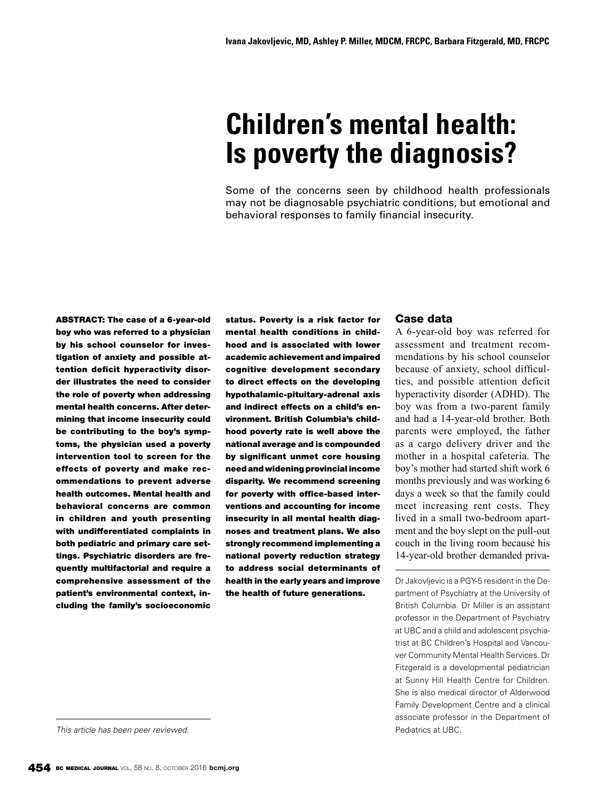# **Children's mental health: Is poverty the diagnosis?**

Some of the concerns seen by childhood health professionals may not be diagnosable psychiatric conditions, but emotional and behavioral responses to family financial insecurity.

ABSTRACT: The case of a 6-year-old boy who was referred to a physician by his school counselor for investigation of anxiety and possible attention deficit hyperactivity disorder illustrates the need to consider the role of poverty when addressing mental health concerns. After determining that income insecurity could be contributing to the boy's symptoms, the physician used a poverty intervention tool to screen for the effects of poverty and make recommendations to prevent adverse health outcomes. Mental health and behavioral concerns are common in children and youth presenting with undifferentiated complaints in both pediatric and primary care settings. Psychiatric disorders are frequently multifactorial and require a comprehensive assessment of the patient's environmental context, including the family's socioeconomic status. Poverty is a risk factor for mental health conditions in childhood and is associated with lower academic achievement and impaired cognitive development secondary to direct effects on the developing hypothalamic-pituitary-adrenal axis and indirect effects on a child's environment. British Columbia's childhood poverty rate is well above the national average and is compounded by significant unmet core housing need and widening provincial income disparity. We recommend screening for poverty with office-based interventions and accounting for income insecurity in all mental health diagnoses and treatment plans. We also strongly recommend implementing a national poverty reduction strategy to address social determinants of health in the early years and improve the health of future generations.

# Case data

A 6-year-old boy was referred for assessment and treatment recommendations by his school counselor because of anxiety, school difficulties, and possible attention deficit hyperactivity disorder (ADHD). The boy was from a two-parent family and had a 14-year-old brother. Both parents were employed, the father as a cargo delivery driver and the mother in a hospital cafeteria. The boy's mother had started shift work 6 months previously and was working 6 days a week so that the family could meet increasing rent costs. They lived in a small two-bedroom apartment and the boy slept on the pull-out couch in the living room because his 14-year-old brother demanded priva-

Dr Jakovljevic is a PGY-5 resident in the Department of Psychiatry at the University of British Columbia. Dr Miller is an assistant professor in the Department of Psychiatry at UBC and a child and adolescent psychiatrist at BC Children's Hospital and Vancouver Community Mental Health Services. Dr Fitzgerald is a developmental pediatrician at Sunny Hill Health Centre for Children. She is also medical director of Alderwood Family Development Centre and a clinical associate professor in the Department of

*This article has been peer reviewed.* Pediatrics at UBC.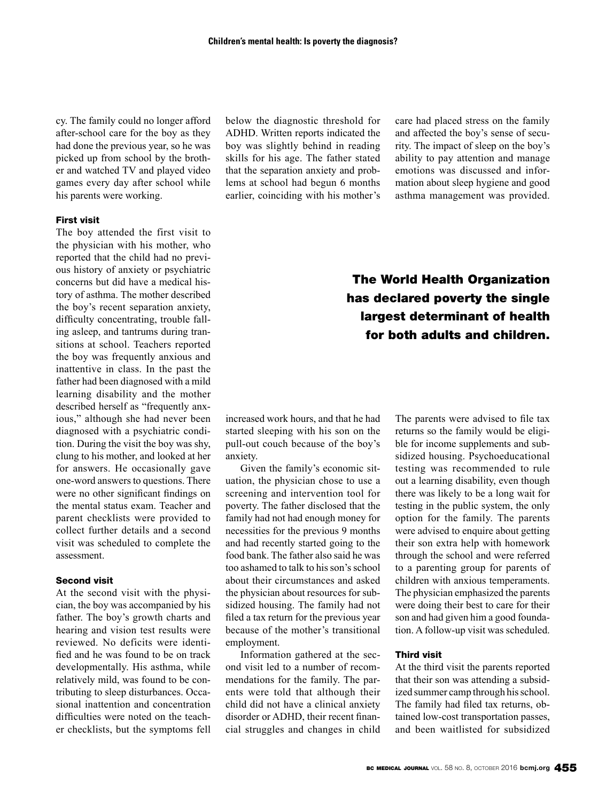cy. The family could no longer afford after-school care for the boy as they had done the previous year, so he was picked up from school by the brother and watched TV and played video games every day after school while his parents were working.

## First visit

The boy attended the first visit to the physician with his mother, who reported that the child had no previous history of anxiety or psychiatric concerns but did have a medical history of asthma. The mother described the boy's recent separation anxiety, difficulty concentrating, trouble falling asleep, and tantrums during transitions at school. Teachers reported the boy was frequently anxious and inattentive in class. In the past the father had been diagnosed with a mild learning disability and the mother described herself as "frequently anxious," although she had never been diagnosed with a psychiatric condition. During the visit the boy was shy, clung to his mother, and looked at her for answers. He occasionally gave one-word answers to questions. There were no other significant findings on the mental status exam. Teacher and parent checklists were provided to collect further details and a second visit was scheduled to complete the assessment.

#### Second visit

At the second visit with the physician, the boy was accompanied by his father. The boy's growth charts and hearing and vision test results were reviewed. No deficits were identified and he was found to be on track developmentally. His asthma, while relatively mild, was found to be contributing to sleep disturbances. Occasional inattention and concentration difficulties were noted on the teacher checklists, but the symptoms fell below the diagnostic threshold for ADHD. Written reports indicated the boy was slightly behind in reading skills for his age. The father stated that the separation anxiety and problems at school had begun 6 months earlier, coinciding with his mother's

care had placed stress on the family and affected the boy's sense of security. The impact of sleep on the boy's ability to pay attention and manage emotions was discussed and information about sleep hygiene and good asthma management was provided.

# The World Health Organization has declared poverty the single largest determinant of health for both adults and children.

increased work hours, and that he had started sleeping with his son on the pull-out couch because of the boy's anxiety.

Given the family's economic situation, the physician chose to use a screening and intervention tool for poverty. The father disclosed that the family had not had enough money for necessities for the previous 9 months and had recently started going to the food bank. The father also said he was too ashamed to talk to his son's school about their circumstances and asked the physician about resources for subsidized housing. The family had not filed a tax return for the previous year because of the mother's transitional employment.

Information gathered at the second visit led to a number of recommendations for the family. The parents were told that although their child did not have a clinical anxiety disorder or ADHD, their recent financial struggles and changes in child

The parents were advised to file tax returns so the family would be eligible for income supplements and subsidized housing. Psychoeducational testing was recommended to rule out a learning disability, even though there was likely to be a long wait for testing in the public system, the only option for the family. The parents were advised to enquire about getting their son extra help with homework through the school and were referred to a parenting group for parents of children with anxious temperaments. The physician emphasized the parents were doing their best to care for their son and had given him a good foundation. A follow-up visit was scheduled.

#### Third visit

At the third visit the parents reported that their son was attending a subsidized summer camp through his school. The family had filed tax returns, obtained low-cost transportation passes, and been waitlisted for subsidized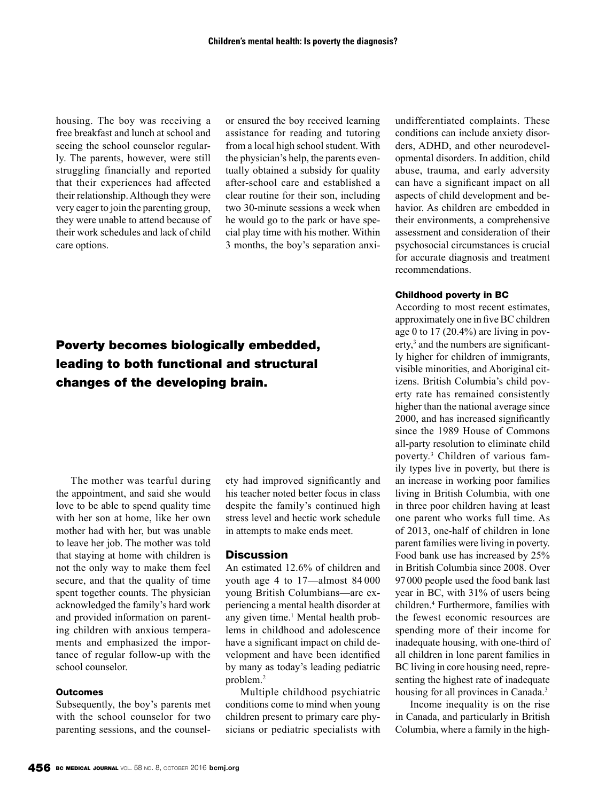housing. The boy was receiving a free breakfast and lunch at school and seeing the school counselor regularly. The parents, however, were still struggling financially and reported that their experiences had affected their relationship. Although they were very eager to join the parenting group, they were unable to attend because of their work schedules and lack of child care options.

or ensured the boy received learning assistance for reading and tutoring from a local high school student. With the physician's help, the parents eventually obtained a subsidy for quality after-school care and established a clear routine for their son, including two 30-minute sessions a week when he would go to the park or have special play time with his mother. Within 3 months, the boy's separation anxi-

# Poverty becomes biologically embedded, leading to both functional and structural changes of the developing brain.

The mother was tearful during the appointment, and said she would love to be able to spend quality time with her son at home, like her own mother had with her, but was unable to leave her job. The mother was told that staying at home with children is not the only way to make them feel secure, and that the quality of time spent together counts. The physician acknowledged the family's hard work and provided information on parenting children with anxious temperaments and emphasized the importance of regular follow-up with the school counselor.

# **Outcomes**

Subsequently, the boy's parents met with the school counselor for two parenting sessions, and the counselety had improved significantly and his teacher noted better focus in class despite the family's continued high stress level and hectic work schedule in attempts to make ends meet.

#### **Discussion**

An estimated 12.6% of children and youth age 4 to 17—almost 84 000 young British Columbians—are experiencing a mental health disorder at any given time.<sup>1</sup> Mental health problems in childhood and adolescence have a significant impact on child development and have been identified by many as today's leading pediatric problem.2

Multiple childhood psychiatric conditions come to mind when young children present to primary care physicians or pediatric specialists with undifferentiated complaints. These conditions can include anxiety disorders, ADHD, and other neurodevelopmental disorders. In addition, child abuse, trauma, and early adversity can have a significant impact on all aspects of child development and behavior. As children are embedded in their environments, a comprehensive assessment and consideration of their psychosocial circumstances is crucial for accurate diagnosis and treatment recommendations.

#### Childhood poverty in BC

According to most recent estimates, approximately one in five BC children age 0 to 17 (20.4%) are living in poverty,<sup>3</sup> and the numbers are significantly higher for children of immigrants, visible minorities, and Aboriginal citizens. British Columbia's child poverty rate has remained consistently higher than the national average since 2000, and has increased significantly since the 1989 House of Commons all-party resolution to eliminate child poverty.3 Children of various family types live in poverty, but there is an increase in working poor families living in British Columbia, with one in three poor children having at least one parent who works full time. As of 2013, one-half of children in lone parent families were living in poverty. Food bank use has increased by 25% in British Columbia since 2008. Over 97000 people used the food bank last year in BC, with 31% of users being children.4 Furthermore, families with the fewest economic resources are spending more of their income for inadequate housing, with one-third of all children in lone parent families in BC living in core housing need, representing the highest rate of inadequate housing for all provinces in Canada.<sup>3</sup>

Income inequality is on the rise in Canada, and particularly in British Columbia, where a family in the high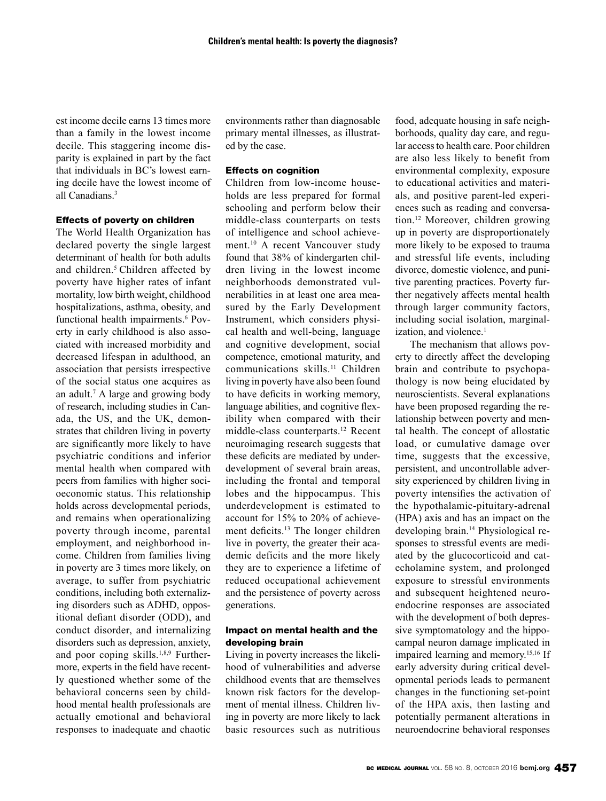est income decile earns 13 times more than a family in the lowest income decile. This staggering income disparity is explained in part by the fact that individuals in BC's lowest earning decile have the lowest income of all Canadians.<sup>3</sup>

#### Effects of poverty on children

The World Health Organization has declared poverty the single largest determinant of health for both adults and children.<sup>5</sup> Children affected by poverty have higher rates of infant mortality, low birth weight, childhood hospitalizations, asthma, obesity, and functional health impairments.<sup>6</sup> Poverty in early childhood is also associated with increased morbidity and decreased lifespan in adulthood, an association that persists irrespective of the social status one acquires as an adult.7 A large and growing body of research, including studies in Canada, the US, and the UK, demonstrates that children living in poverty are significantly more likely to have psychiatric conditions and inferior mental health when compared with peers from families with higher socioeconomic status. This relationship holds across developmental periods, and remains when operationalizing poverty through income, parental employment, and neighborhood income. Children from families living in poverty are 3 times more likely, on average, to suffer from psychiatric conditions, including both externalizing disorders such as ADHD, oppositional defiant disorder (ODD), and conduct disorder, and internalizing disorders such as depression, anxiety, and poor coping skills.<sup>1,8,9</sup> Furthermore, experts in the field have recently questioned whether some of the behavioral concerns seen by childhood mental health professionals are actually emotional and behavioral responses to inadequate and chaotic

environments rather than diagnosable primary mental illnesses, as illustrated by the case.

#### Effects on cognition

Children from low-income households are less prepared for formal schooling and perform below their middle-class counterparts on tests of intelligence and school achievement.<sup>10</sup> A recent Vancouver study found that 38% of kindergarten children living in the lowest income neighborhoods demonstrated vulnerabilities in at least one area measured by the Early Development Instrument, which considers physical health and well-being, language and cognitive development, social competence, emotional maturity, and communications skills.11 Children living in poverty have also been found to have deficits in working memory, language abilities, and cognitive flexibility when compared with their middle-class counterparts.12 Recent neuroimaging research suggests that these deficits are mediated by underdevelopment of several brain areas, including the frontal and temporal lobes and the hippocampus. This underdevelopment is estimated to account for 15% to 20% of achievement deficits.<sup>13</sup> The longer children live in poverty, the greater their academic deficits and the more likely they are to experience a lifetime of reduced occupational achievement and the persistence of poverty across generations.

## Impact on mental health and the developing brain

Living in poverty increases the likelihood of vulnerabilities and adverse childhood events that are themselves known risk factors for the development of mental illness. Children living in poverty are more likely to lack basic resources such as nutritious

food, adequate housing in safe neighborhoods, quality day care, and regular access to health care. Poor children are also less likely to benefit from environmental complexity, exposure to educational activities and materials, and positive parent-led experiences such as reading and conversation.12 Moreover, children growing up in poverty are disproportionately more likely to be exposed to trauma and stressful life events, including divorce, domestic violence, and punitive parenting practices. Poverty further negatively affects mental health through larger community factors, including social isolation, marginalization, and violence.<sup>1</sup>

The mechanism that allows poverty to directly affect the developing brain and contribute to psychopathology is now being elucidated by neuroscientists. Several explanations have been proposed regarding the relationship between poverty and mental health. The concept of allostatic load, or cumulative damage over time, suggests that the excessive, persistent, and uncontrollable adversity experienced by children living in poverty intensifies the activation of the hypothalamic-pituitary-adrenal (HPA) axis and has an impact on the developing brain.14 Physiological responses to stressful events are mediated by the glucocorticoid and catecholamine system, and prolonged exposure to stressful environments and subsequent heightened neuroendocrine responses are associated with the development of both depressive symptomatology and the hippocampal neuron damage implicated in impaired learning and memory.<sup>15,16</sup> If early adversity during critical developmental periods leads to permanent changes in the functioning set-point of the HPA axis, then lasting and potentially permanent alterations in neuroendocrine behavioral responses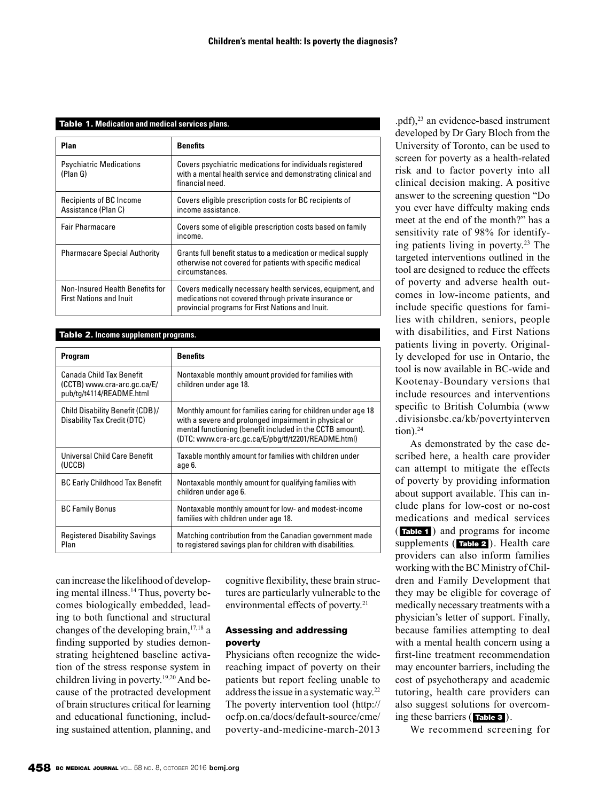#### Table 1. **Medication and medical services plans.**

| Plan                                                              | <b>Benefits</b>                                                                                                                                                        |  |
|-------------------------------------------------------------------|------------------------------------------------------------------------------------------------------------------------------------------------------------------------|--|
| <b>Psychiatric Medications</b><br>(Plan G)                        | Covers psychiatric medications for individuals registered<br>with a mental health service and demonstrating clinical and<br>financial need.                            |  |
| <b>Recipients of BC Income</b><br>Assistance (Plan C)             | Covers eligible prescription costs for BC recipients of<br>income assistance.                                                                                          |  |
| <b>Fair Pharmacare</b>                                            | Covers some of eligible prescription costs based on family<br>income.                                                                                                  |  |
| <b>Pharmacare Special Authority</b>                               | Grants full benefit status to a medication or medical supply<br>otherwise not covered for patients with specific medical<br>circumstances.                             |  |
| Non-Insured Health Benefits for<br><b>First Nations and Inuit</b> | Covers medically necessary health services, equipment, and<br>medications not covered through private insurance or<br>provincial programs for First Nations and Inuit. |  |

# Table 2. **Income supplement programs.**

| <b>Program</b>                                                                      | <b>Benefits</b>                                                                                                                                                                                                                           |  |
|-------------------------------------------------------------------------------------|-------------------------------------------------------------------------------------------------------------------------------------------------------------------------------------------------------------------------------------------|--|
| Canada Child Tax Benefit<br>(CCTB) www.cra-arc.gc.ca/E/<br>pub/tg/t4114/README.html | Nontaxable monthly amount provided for families with<br>children under age 18.                                                                                                                                                            |  |
| Child Disability Benefit (CDB)/<br>Disability Tax Credit (DTC)                      | Monthly amount for families caring for children under age 18<br>with a severe and prolonged impairment in physical or<br>mental functioning (benefit included in the CCTB amount).<br>(DTC: www.cra-arc.gc.ca/E/pbg/tf/t2201/README.html) |  |
| Universal Child Care Benefit<br>(UCCB)                                              | Taxable monthly amount for families with children under<br>age 6.                                                                                                                                                                         |  |
| <b>BC Early Childhood Tax Benefit</b>                                               | Nontaxable monthly amount for qualifying families with<br>children under age 6.                                                                                                                                                           |  |
| <b>BC Family Bonus</b>                                                              | Nontaxable monthly amount for low- and modest-income<br>families with children under age 18.                                                                                                                                              |  |
| <b>Registered Disability Savings</b><br>Plan                                        | Matching contribution from the Canadian government made<br>to registered savings plan for children with disabilities.                                                                                                                     |  |

can increase the likelihood of developing mental illness.<sup>14</sup> Thus, poverty becomes biologically embedded, leading to both functional and structural changes of the developing brain,  $17,18$  a finding supported by studies demonstrating heightened baseline activation of the stress response system in children living in poverty.<sup>19,20</sup> And because of the protracted development of brain structures critical for learning and educational functioning, including sustained attention, planning, and cognitive flexibility, these brain structures are particularly vulnerable to the environmental effects of poverty.<sup>21</sup>

## Assessing and addressing poverty

Physicians often recognize the widereaching impact of poverty on their patients but report feeling unable to address the issue in a systematic way.22 The poverty intervention tool (http:// ocfp.on.ca/docs/default-source/cme/ poverty-and-medicine-march-2013

.pdf),23 an evidence-based instrument developed by Dr Gary Bloch from the University of Toronto, can be used to screen for poverty as a health-related risk and to factor poverty into all clinical decision making. A positive answer to the screening question "Do you ever have diffculty making ends meet at the end of the month?" has a sensitivity rate of 98% for identifying patients living in poverty.23 The targeted interventions outlined in the tool are designed to reduce the effects of poverty and adverse health outcomes in low-income patients, and include specific questions for families with children, seniors, people with disabilities, and First Nations patients living in poverty. Originally developed for use in Ontario, the tool is now available in BC-wide and Kootenay-Boundary versions that include resources and interventions specific to British Columbia (www .divisionsbc.ca/kb/povertyinterven  $tion).<sup>24</sup>$ 

As demonstrated by the case described here, a health care provider can attempt to mitigate the effects of poverty by providing information about support available. This can include plans for low-cost or no-cost medications and medical services ( Table 1 ) and programs for income supplements (**Table 2**). Health care providers can also inform families working with the BC Ministry of Children and Family Development that they may be eligible for coverage of medically necessary treatments with a physician's letter of support. Finally, because families attempting to deal with a mental health concern using a first-line treatment recommendation may encounter barriers, including the cost of psychotherapy and academic tutoring, health care providers can also suggest solutions for overcoming these barriers ( Table 3 ).

We recommend screening for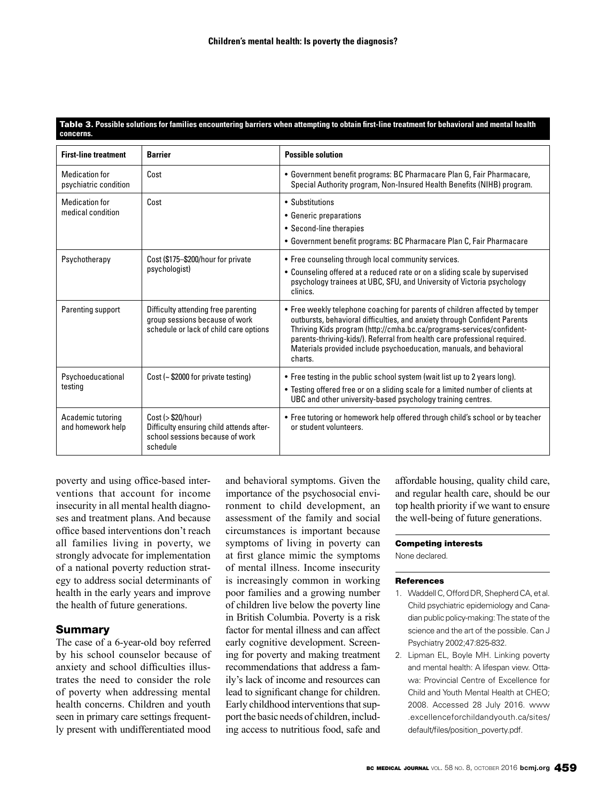#### Table 3. **Possible solutions for families encountering barriers when attempting to obtain first-line treatment for behavioral and mental health concerns.**

| <b>First-line treatment</b>                    | <b>Barrier</b>                                                                                                  | <b>Possible solution</b>                                                                                                                                                                                                                                                                                                                                                                         |
|------------------------------------------------|-----------------------------------------------------------------------------------------------------------------|--------------------------------------------------------------------------------------------------------------------------------------------------------------------------------------------------------------------------------------------------------------------------------------------------------------------------------------------------------------------------------------------------|
| <b>Medication for</b><br>psychiatric condition | Cost                                                                                                            | • Government benefit programs: BC Pharmacare Plan G, Fair Pharmacare,<br>Special Authority program, Non-Insured Health Benefits (NIHB) program.                                                                                                                                                                                                                                                  |
| <b>Medication for</b><br>medical condition     | Cost                                                                                                            | • Substitutions<br>• Generic preparations<br>• Second-line therapies<br>• Government benefit programs: BC Pharmacare Plan C, Fair Pharmacare                                                                                                                                                                                                                                                     |
| Psychotherapy                                  | Cost (\$175-\$200/hour for private<br>psychologist)                                                             | • Free counseling through local community services.<br>• Counseling offered at a reduced rate or on a sliding scale by supervised<br>psychology trainees at UBC, SFU, and University of Victoria psychology<br>clinics.                                                                                                                                                                          |
| Parenting support                              | Difficulty attending free parenting<br>group sessions because of work<br>schedule or lack of child care options | • Free weekly telephone coaching for parents of children affected by temper<br>outbursts, behavioral difficulties, and anxiety through Confident Parents<br>Thriving Kids program (http://cmha.bc.ca/programs-services/confident-<br>parents-thriving-kids/). Referral from health care professional required.<br>Materials provided include psychoeducation, manuals, and behavioral<br>charts. |
| Psychoeducational<br>testing                   | Cost (~ \$2000 for private testing)                                                                             | • Free testing in the public school system (wait list up to 2 years long).<br>• Testing offered free or on a sliding scale for a limited number of clients at<br>UBC and other university-based psychology training centres.                                                                                                                                                                     |
| Academic tutoring<br>and homework help         | Cost (> \$20/hour)<br>Difficulty ensuring child attends after-<br>school sessions because of work<br>schedule   | • Free tutoring or homework help offered through child's school or by teacher<br>or student volunteers.                                                                                                                                                                                                                                                                                          |

poverty and using office-based interventions that account for income insecurity in all mental health diagnoses and treatment plans. And because office based interventions don't reach all families living in poverty, we strongly advocate for implementation of a national poverty reduction strategy to address social determinants of health in the early years and improve the health of future generations.

# Summary

The case of a 6-year-old boy referred by his school counselor because of anxiety and school difficulties illustrates the need to consider the role of poverty when addressing mental health concerns. Children and youth seen in primary care settings frequently present with undifferentiated mood and behavioral symptoms. Given the importance of the psychosocial environment to child development, an assessment of the family and social circumstances is important because symptoms of living in poverty can at first glance mimic the symptoms of mental illness. Income insecurity is increasingly common in working poor families and a growing number of children live below the poverty line in British Columbia. Poverty is a risk factor for mental illness and can affect early cognitive development. Screening for poverty and making treatment recommendations that address a family's lack of income and resources can lead to significant change for children. Early childhood interventions that support the basic needs of children, including access to nutritious food, safe and

affordable housing, quality child care, and regular health care, should be our top health priority if we want to ensure the well-being of future generations.

#### Competing interests

None declared.

#### References

- 1. Waddell C, Offord DR, Shepherd CA, et al. Child psychiatric epidemiology and Canadian public policy-making: The state of the science and the art of the possible. Can J Psychiatry 2002;47:825-832.
- 2. Lipman EL, Boyle MH. Linking poverty and mental health: A lifespan view. Ottawa: Provincial Centre of Excellence for Child and Youth Mental Health at CHEO; 2008. Accessed 28 July 2016. www .excellenceforchildandyouth.ca/sites/ default/files/position\_poverty.pdf.